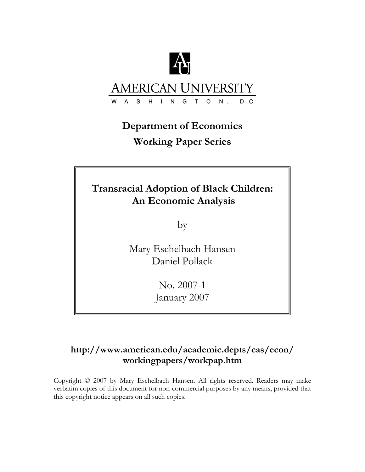

#### **AMERICAN UNIVERSIT** S H I N G T O  $\overline{A}$  $N$ , D<sub>C</sub>

# **Department of Economics Working Paper Series**

# **Transracial Adoption of Black Children: An Economic Analysis**

by

Mary Eschelbach Hansen Daniel Pollack

> No. 2007-1 January 2007

## **http://www.american.edu/academic.depts/cas/econ/ workingpapers/workpap.htm**

Copyright © 2007 by Mary Eschelbach Hansen. All rights reserved. Readers may make verbatim copies of this document for non-commercial purposes by any means, provided that this copyright notice appears on all such copies.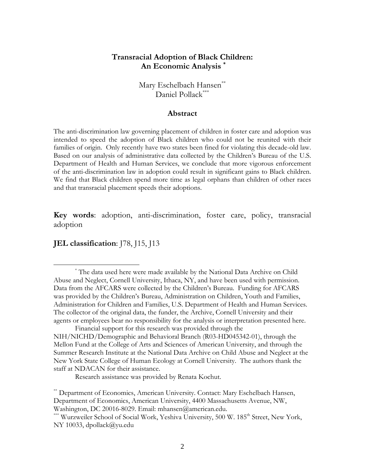## **Transracial Adoption of Black Children: An Economic Analysis \***

Mary Eschelbach Hansen\*\* Daniel Pollack\*\*\*

#### **Abstract**

The anti-discrimination law governing placement of children in foster care and adoption was intended to speed the adoption of Black children who could not be reunited with their families of origin. Only recently have two states been fined for violating this decade-old law. Based on our analysis of administrative data collected by the Children's Bureau of the U.S. Department of Health and Human Services, we conclude that more vigorous enforcement of the anti-discrimination law in adoption could result in significant gains to Black children. We find that Black children spend more time as legal orphans than children of other races and that transracial placement speeds their adoptions.

**Key words**: adoption, anti-discrimination, foster care, policy, transracial adoption

### **JEL classification**: J78, J15, J13

 $\overline{a}$ 

Research assistance was provided by Renata Kochut.

<sup>\*</sup> The data used here were made available by the National Data Archive on Child Abuse and Neglect, Cornell University, Ithaca, NY, and have been used with permission. Data from the AFCARS were collected by the Children's Bureau. Funding for AFCARS was provided by the Children's Bureau, Administration on Children, Youth and Families, Administration for Children and Families, U.S. Department of Health and Human Services. The collector of the original data, the funder, the Archive, Cornell University and their agents or employees bear no responsibility for the analysis or interpretation presented here.

Financial support for this research was provided through the NIH/NICHD/Demographic and Behavioral Branch (R03-HD045342-01), through the Mellon Fund at the College of Arts and Sciences of American University, and through the Summer Research Institute at the National Data Archive on Child Abuse and Neglect at the New York State College of Human Ecology at Cornell University. The authors thank the staff at NDACAN for their assistance.

<sup>\*\*</sup> Department of Economics, American University. Contact: Mary Eschelbach Hansen, Department of Economics, American University, 4400 Massachusetts Avenue, NW, Washington, DC 20016-8029. Email: mhansen@american.edu.

<sup>\*\*\*</sup> Wurzweiler School of Social Work, Yeshiva University, 500 W. 185<sup>th</sup> Street, New York, NY 10033, dpollack@yu.edu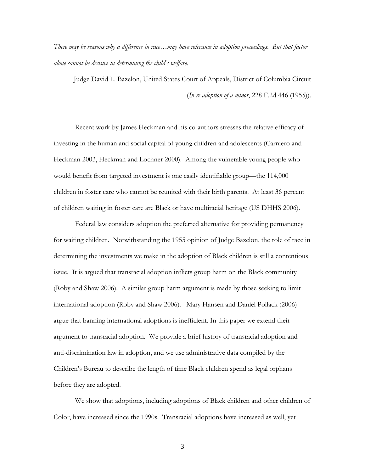*There may be reasons why a difference in race…may have relevance in adoption proceedings. But that factor alone cannot be decisive in determining the child's welfare*.

Judge David L. Bazelon, United States Court of Appeals, District of Columbia Circuit (*In re adoption of a minor*, 228 F.2d 446 (1955)).

Recent work by James Heckman and his co-authors stresses the relative efficacy of investing in the human and social capital of young children and adolescents (Carniero and Heckman 2003, Heckman and Lochner 2000). Among the vulnerable young people who would benefit from targeted investment is one easily identifiable group—the 114,000 children in foster care who cannot be reunited with their birth parents. At least 36 percent of children waiting in foster care are Black or have multiracial heritage (US DHHS 2006).

Federal law considers adoption the preferred alternative for providing permanency for waiting children. Notwithstanding the 1955 opinion of Judge Bazelon, the role of race in determining the investments we make in the adoption of Black children is still a contentious issue. It is argued that transracial adoption inflicts group harm on the Black community (Roby and Shaw 2006). A similar group harm argument is made by those seeking to limit international adoption (Roby and Shaw 2006). Mary Hansen and Daniel Pollack (2006) argue that banning international adoptions is inefficient. In this paper we extend their argument to transracial adoption. We provide a brief history of transracial adoption and anti-discrimination law in adoption, and we use administrative data compiled by the Children's Bureau to describe the length of time Black children spend as legal orphans before they are adopted.

We show that adoptions, including adoptions of Black children and other children of Color, have increased since the 1990s. Transracial adoptions have increased as well, yet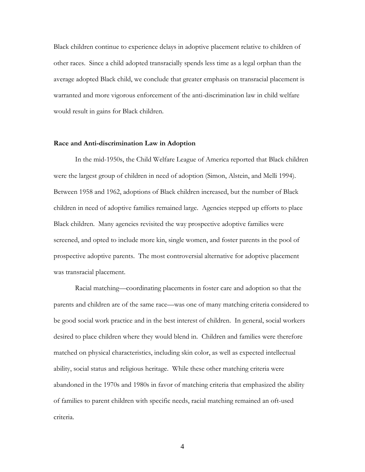Black children continue to experience delays in adoptive placement relative to children of other races. Since a child adopted transracially spends less time as a legal orphan than the average adopted Black child, we conclude that greater emphasis on transracial placement is warranted and more vigorous enforcement of the anti-discrimination law in child welfare would result in gains for Black children.

#### **Race and Anti-discrimination Law in Adoption**

In the mid-1950s, the Child Welfare League of America reported that Black children were the largest group of children in need of adoption (Simon, Alstein, and Melli 1994). Between 1958 and 1962, adoptions of Black children increased, but the number of Black children in need of adoptive families remained large. Agencies stepped up efforts to place Black children. Many agencies revisited the way prospective adoptive families were screened, and opted to include more kin, single women, and foster parents in the pool of prospective adoptive parents. The most controversial alternative for adoptive placement was transracial placement.

Racial matching—coordinating placements in foster care and adoption so that the parents and children are of the same race—was one of many matching criteria considered to be good social work practice and in the best interest of children. In general, social workers desired to place children where they would blend in. Children and families were therefore matched on physical characteristics, including skin color, as well as expected intellectual ability, social status and religious heritage. While these other matching criteria were abandoned in the 1970s and 1980s in favor of matching criteria that emphasized the ability of families to parent children with specific needs, racial matching remained an oft-used criteria.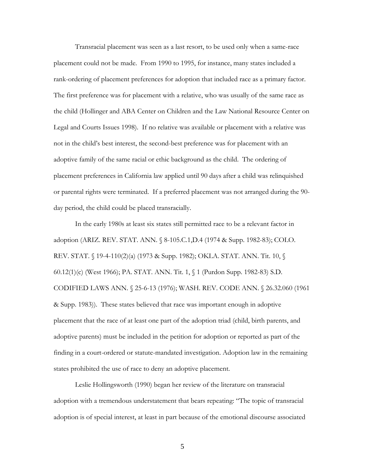Transracial placement was seen as a last resort, to be used only when a same-race placement could not be made. From 1990 to 1995, for instance, many states included a rank-ordering of placement preferences for adoption that included race as a primary factor. The first preference was for placement with a relative, who was usually of the same race as the child (Hollinger and ABA Center on Children and the Law National Resource Center on Legal and Courts Issues 1998). If no relative was available or placement with a relative was not in the child's best interest, the second-best preference was for placement with an adoptive family of the same racial or ethic background as the child. The ordering of placement preferences in California law applied until 90 days after a child was relinquished or parental rights were terminated. If a preferred placement was not arranged during the 90 day period, the child could be placed transracially.

In the early 1980s at least six states still permitted race to be a relevant factor in adoption (ARIZ. REV. STAT. ANN. § 8-105.C.1,D.4 (1974 & Supp. 1982-83); COLO. REV. STAT. § 19-4-110(2)(a) (1973 & Supp. 1982); OKLA. STAT. ANN. Tit. 10, § 60.12(1)(c) (West 1966); PA. STAT. ANN. Tit. 1, § 1 (Purdon Supp. 1982-83) S.D. CODIFIED LAWS ANN. § 25-6-13 (1976); WASH. REV. CODE ANN. § 26.32.060 (1961 & Supp. 1983)). These states believed that race was important enough in adoptive placement that the race of at least one part of the adoption triad (child, birth parents, and adoptive parents) must be included in the petition for adoption or reported as part of the finding in a court-ordered or statute-mandated investigation. Adoption law in the remaining states prohibited the use of race to deny an adoptive placement.

Leslie Hollingsworth (1990) began her review of the literature on transracial adoption with a tremendous understatement that bears repeating: "The topic of transracial adoption is of special interest, at least in part because of the emotional discourse associated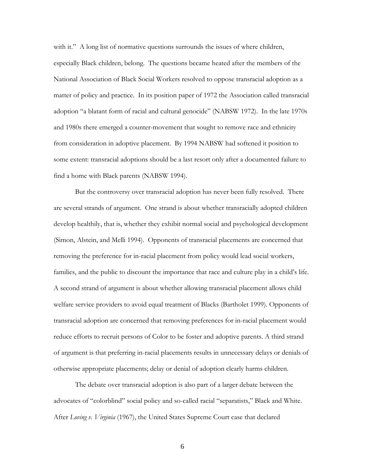with it." A long list of normative questions surrounds the issues of where children, especially Black children, belong. The questions became heated after the members of the National Association of Black Social Workers resolved to oppose transracial adoption as a matter of policy and practice. In its position paper of 1972 the Association called transracial adoption "a blatant form of racial and cultural genocide" (NABSW 1972). In the late 1970s and 1980s there emerged a counter-movement that sought to remove race and ethnicity from consideration in adoptive placement. By 1994 NABSW had softened it position to some extent: transracial adoptions should be a last resort only after a documented failure to find a home with Black parents (NABSW 1994).

But the controversy over transracial adoption has never been fully resolved. There are several strands of argument. One strand is about whether transracially adopted children develop healthily, that is, whether they exhibit normal social and psychological development (Simon, Alstein, and Melli 1994). Opponents of transracial placements are concerned that removing the preference for in-racial placement from policy would lead social workers, families, and the public to discount the importance that race and culture play in a child's life. A second strand of argument is about whether allowing transracial placement allows child welfare service providers to avoid equal treatment of Blacks (Bartholet 1999). Opponents of transracial adoption are concerned that removing preferences for in-racial placement would reduce efforts to recruit persons of Color to be foster and adoptive parents. A third strand of argument is that preferring in-racial placements results in unnecessary delays or denials of otherwise appropriate placements; delay or denial of adoption clearly harms children.

The debate over transracial adoption is also part of a larger debate between the advocates of "colorblind" social policy and so-called racial "separatists," Black and White. After *Loving v. Virginia* (1967), the United States Supreme Court case that declared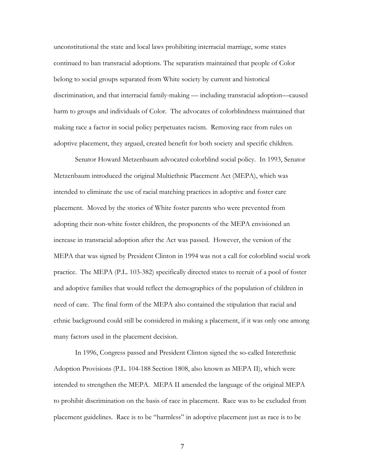unconstitutional the state and local laws prohibiting interracial marriage, some states continued to ban transracial adoptions. The separatists maintained that people of Color belong to social groups separated from White society by current and historical discrimination, and that interracial family-making — including transracial adoption—caused harm to groups and individuals of Color. The advocates of colorblindness maintained that making race a factor in social policy perpetuates racism. Removing race from rules on adoptive placement, they argued, created benefit for both society and specific children.

Senator Howard Metzenbaum advocated colorblind social policy. In 1993, Senator Metzenbaum introduced the original Multiethnic Placement Act (MEPA), which was intended to eliminate the use of racial matching practices in adoptive and foster care placement. Moved by the stories of White foster parents who were prevented from adopting their non-white foster children, the proponents of the MEPA envisioned an increase in transracial adoption after the Act was passed. However, the version of the MEPA that was signed by President Clinton in 1994 was not a call for colorblind social work practice. The MEPA (P.L. 103-382) specifically directed states to recruit of a pool of foster and adoptive families that would reflect the demographics of the population of children in need of care. The final form of the MEPA also contained the stipulation that racial and ethnic background could still be considered in making a placement, if it was only one among many factors used in the placement decision.

In 1996, Congress passed and President Clinton signed the so-called Interethnic Adoption Provisions (P.L. 104-188 Section 1808, also known as MEPA II), which were intended to strengthen the MEPA. MEPA II amended the language of the original MEPA to prohibit discrimination on the basis of race in placement. Race was to be excluded from placement guidelines. Race is to be "harmless" in adoptive placement just as race is to be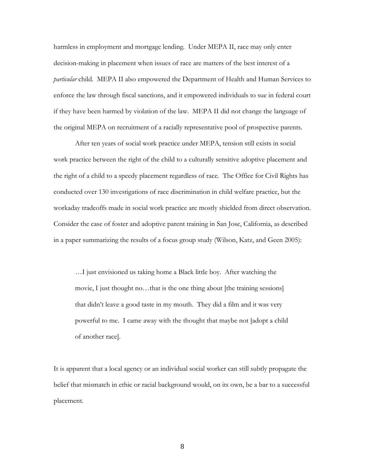harmless in employment and mortgage lending. Under MEPA II, race may only enter decision-making in placement when issues of race are matters of the best interest of a *particular* child. MEPA II also empowered the Department of Health and Human Services to enforce the law through fiscal sanctions, and it empowered individuals to sue in federal court if they have been harmed by violation of the law. MEPA II did not change the language of the original MEPA on recruitment of a racially representative pool of prospective parents.

After ten years of social work practice under MEPA, tension still exists in social work practice between the right of the child to a culturally sensitive adoptive placement and the right of a child to a speedy placement regardless of race. The Office for Civil Rights has conducted over 130 investigations of race discrimination in child welfare practice, but the workaday tradeoffs made in social work practice are mostly shielded from direct observation. Consider the case of foster and adoptive parent training in San Jose, California, as described in a paper summarizing the results of a focus group study (Wilson, Katz, and Geen 2005):

…I just envisioned us taking home a Black little boy. After watching the movie, I just thought no…that is the one thing about [the training sessions] that didn't leave a good taste in my mouth. They did a film and it was very powerful to me. I came away with the thought that maybe not [adopt a child of another race].

It is apparent that a local agency or an individual social worker can still subtly propagate the belief that mismatch in ethic or racial background would, on its own, be a bar to a successful placement.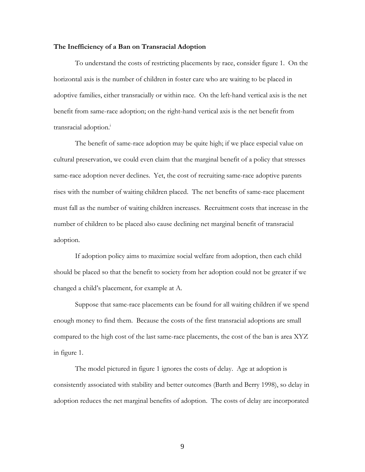#### **The Inefficiency of a Ban on Transracial Adoption**

To understand the costs of restricting placements by race, consider figure 1. On the horizontal axis is the number of children in foster care who are waiting to be placed in adoptive families, either transracially or within race. On the left-hand vertical axis is the net benefit from same-race adoption; on the right-hand vertical axis is the net benefit from transracial adoption.<sup>i</sup>

The benefit of same-race adoption may be quite high; if we place especial value on cultural preservation, we could even claim that the marginal benefit of a policy that stresses same-race adoption never declines. Yet, the cost of recruiting same-race adoptive parents rises with the number of waiting children placed. The net benefits of same-race placement must fall as the number of waiting children increases. Recruitment costs that increase in the number of children to be placed also cause declining net marginal benefit of transracial adoption.

If adoption policy aims to maximize social welfare from adoption, then each child should be placed so that the benefit to society from her adoption could not be greater if we changed a child's placement, for example at A.

Suppose that same-race placements can be found for all waiting children if we spend enough money to find them. Because the costs of the first transracial adoptions are small compared to the high cost of the last same-race placements, the cost of the ban is area XYZ in figure 1.

The model pictured in figure 1 ignores the costs of delay. Age at adoption is consistently associated with stability and better outcomes (Barth and Berry 1998), so delay in adoption reduces the net marginal benefits of adoption. The costs of delay are incorporated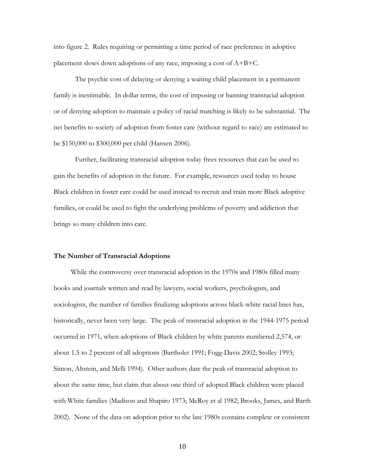into figure 2. Rules requiring or permitting a time period of race preference in adoptive placement slows down adoptions of any race, imposing a cost of A+B+C.

The psychic cost of delaying or denying a waiting child placement in a permanent family is inestimable. In dollar terms, the cost of imposing or banning transracial adoption or of denying adoption to maintain a policy of racial matching is likely to be substantial. The net benefits to society of adoption from foster care (without regard to race) are estimated to be \$150,000 to \$300,000 per child (Hansen 2006).

Further, facilitating transracial adoption today frees resources that can be used to gain the benefits of adoption in the future. For example, resources used today to house Black children in foster care could be used instead to recruit and train more Black adoptive families, or could be used to fight the underlying problems of poverty and addiction that brings so many children into care.

#### **The Number of Transracial Adoptions**

While the controversy over transracial adoption in the 1970s and 1980s filled many books and journals written and read by lawyers, social workers, psychologists, and sociologists, the number of families finalizing adoptions across black-white racial lines has, historically, never been very large. The peak of transracial adoption in the 1944-1975 period occurred in 1971, when adoptions of Black children by white parents numbered 2,574, or about 1.5 to 2 percent of all adoptions (Bartholet 1991; Fogg-Davis 2002; Stolley 1993; Simon, Altstein, and Melli 1994). Other authors date the peak of transracial adoption to about the same time, but claim that about one third of adopted Black children were placed with White families (Madison and Shapiro 1973; McRoy et al 1982; Brooks, James, and Barth 2002). None of the data on adoption prior to the late 1980s contains complete or consistent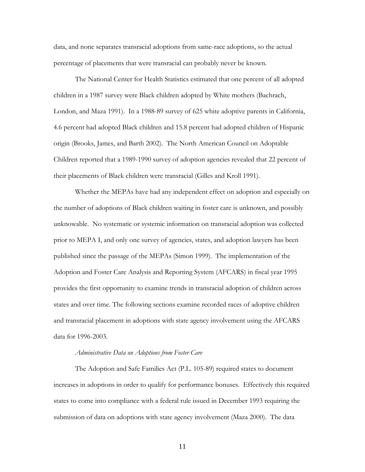data, and none separates transracial adoptions from same-race adoptions, so the actual percentage of placements that were transracial can probably never be known.

The National Center for Health Statistics estimated that one percent of all adopted children in a 1987 survey were Black children adopted by White mothers (Bachrach, London, and Maza 1991). In a 1988-89 survey of 625 white adoptive parents in California, 4.6 percent had adopted Black children and 15.8 percent had adopted children of Hispanic origin (Brooks, James, and Barth 2002). The North American Council on Adoptable Children reported that a 1989-1990 survey of adoption agencies revealed that 22 percent of their placements of Black children were transracial (Gilles and Kroll 1991).

Whether the MEPAs have had any independent effect on adoption and especially on the number of adoptions of Black children waiting in foster care is unknown, and possibly unknowable. No systematic or systemic information on transracial adoption was collected prior to MEPA I, and only one survey of agencies, states, and adoption lawyers has been published since the passage of the MEPAs (Simon 1999). The implementation of the Adoption and Foster Care Analysis and Reporting System (AFCARS) in fiscal year 1995 provides the first opportunity to examine trends in transracial adoption of children across states and over time. The following sections examine recorded races of adoptive children and transracial placement in adoptions with state agency involvement using the AFCARS data for 1996-2003.

#### *Administrative Data on Adoptions from Foster Care*

The Adoption and Safe Families Act (P.L. 105-89) required states to document increases in adoptions in order to qualify for performance bonuses. Effectively this required states to come into compliance with a federal rule issued in December 1993 requiring the submission of data on adoptions with state agency involvement (Maza 2000). The data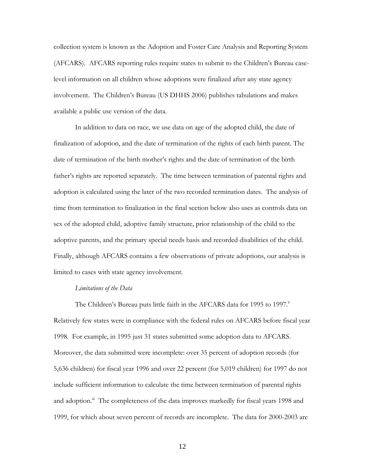collection system is known as the Adoption and Foster Care Analysis and Reporting System (AFCARS). AFCARS reporting rules require states to submit to the Children's Bureau caselevel information on all children whose adoptions were finalized after any state agency involvement. The Children's Bureau (US DHHS 2006) publishes tabulations and makes available a public use version of the data.

In addition to data on race, we use data on age of the adopted child, the date of finalization of adoption, and the date of termination of the rights of each birth parent. The date of termination of the birth mother's rights and the date of termination of the birth father's rights are reported separately. The time between termination of parental rights and adoption is calculated using the later of the two recorded termination dates. The analysis of time from termination to finalization in the final section below also uses as controls data on sex of the adopted child, adoptive family structure, prior relationship of the child to the adoptive parents, and the primary special needs basis and recorded disabilities of the child. Finally, although AFCARS contains a few observations of private adoptions, our analysis is limited to cases with state agency involvement.

#### *Limitations of the Data*

The Children's Bureau puts little faith in the AFCARS data for 1995 to 1997.<sup>ii</sup> Relatively few states were in compliance with the federal rules on AFCARS before fiscal year 1998. For example, in 1995 just 31 states submitted some adoption data to AFCARS. Moreover, the data submitted were incomplete: over 35 percent of adoption records (for 5,636 children) for fiscal year 1996 and over 22 percent (for 5,019 children) for 1997 do not include sufficient information to calculate the time between termination of parental rights and adoption.<sup>iii</sup> The completeness of the data improves markedly for fiscal years 1998 and 1999, for which about seven percent of records are incomplete. The data for 2000-2003 are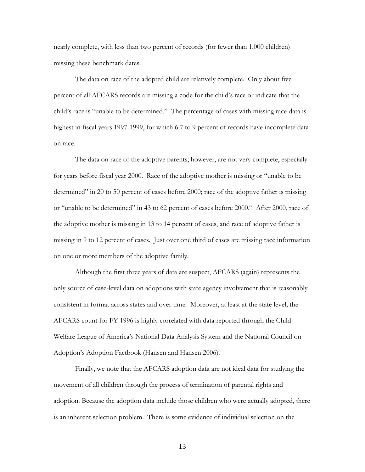nearly complete, with less than two percent of records (for fewer than 1,000 children) missing these benchmark dates.

The data on race of the adopted child are relatively complete. Only about five percent of all AFCARS records are missing a code for the child's race or indicate that the child's race is "unable to be determined." The percentage of cases with missing race data is highest in fiscal years 1997-1999, for which 6.7 to 9 percent of records have incomplete data on race.

The data on race of the adoptive parents, however, are not very complete, especially for years before fiscal year 2000. Race of the adoptive mother is missing or "unable to be determined" in 20 to 50 percent of cases before 2000; race of the adoptive father is missing or "unable to be determined" in 43 to 62 percent of cases before  $2000$ .<sup>iv</sup> After 2000, race of the adoptive mother is missing in 13 to 14 percent of cases, and race of adoptive father is missing in 9 to 12 percent of cases. Just over one third of cases are missing race information on one or more members of the adoptive family.

Although the first three years of data are suspect, AFCARS (again) represents the only source of case-level data on adoptions with state agency involvement that is reasonably consistent in format across states and over time. Moreover, at least at the state level, the AFCARS count for FY 1996 is highly correlated with data reported through the Child Welfare League of America's National Data Analysis System and the National Council on Adoption's Adoption Factbook (Hansen and Hansen 2006).

Finally, we note that the AFCARS adoption data are not ideal data for studying the movement of all children through the process of termination of parental rights and adoption. Because the adoption data include those children who were actually adopted, there is an inherent selection problem. There is some evidence of individual selection on the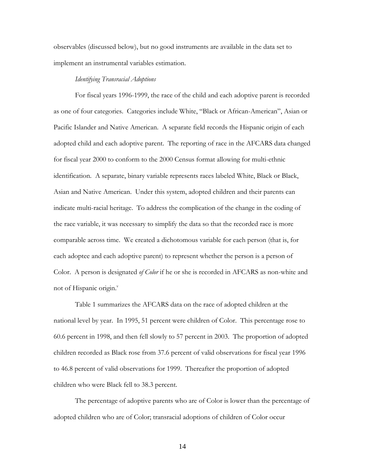observables (discussed below), but no good instruments are available in the data set to implement an instrumental variables estimation.

#### *Identifying Transracial Adoptions*

For fiscal years 1996-1999, the race of the child and each adoptive parent is recorded as one of four categories. Categories include White, "Black or African-American", Asian or Pacific Islander and Native American. A separate field records the Hispanic origin of each adopted child and each adoptive parent. The reporting of race in the AFCARS data changed for fiscal year 2000 to conform to the 2000 Census format allowing for multi-ethnic identification. A separate, binary variable represents races labeled White, Black or Black, Asian and Native American. Under this system, adopted children and their parents can indicate multi-racial heritage. To address the complication of the change in the coding of the race variable, it was necessary to simplify the data so that the recorded race is more comparable across time. We created a dichotomous variable for each person (that is, for each adoptee and each adoptive parent) to represent whether the person is a person of Color. A person is designated *of Color* if he or she is recorded in AFCARS as non-white and not of Hispanic origin.<sup>v</sup>

Table 1 summarizes the AFCARS data on the race of adopted children at the national level by year. In 1995, 51 percent were children of Color. This percentage rose to 60.6 percent in 1998, and then fell slowly to 57 percent in 2003. The proportion of adopted children recorded as Black rose from 37.6 percent of valid observations for fiscal year 1996 to 46.8 percent of valid observations for 1999. Thereafter the proportion of adopted children who were Black fell to 38.3 percent.

The percentage of adoptive parents who are of Color is lower than the percentage of adopted children who are of Color; transracial adoptions of children of Color occur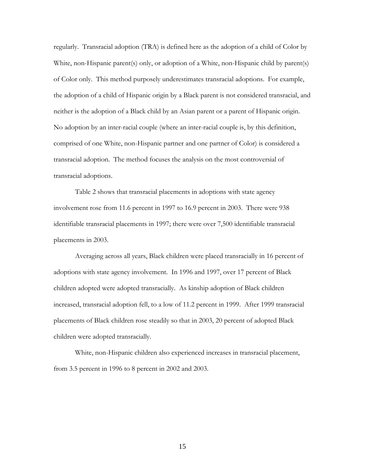regularly. Transracial adoption (TRA) is defined here as the adoption of a child of Color by White, non-Hispanic parent(s) only, or adoption of a White, non-Hispanic child by parent(s) of Color only. This method purposely underestimates transracial adoptions. For example, the adoption of a child of Hispanic origin by a Black parent is not considered transracial, and neither is the adoption of a Black child by an Asian parent or a parent of Hispanic origin. No adoption by an inter-racial couple (where an inter-racial couple is, by this definition, comprised of one White, non-Hispanic partner and one partner of Color) is considered a transracial adoption. The method focuses the analysis on the most controversial of transracial adoptions.

Table 2 shows that transracial placements in adoptions with state agency involvement rose from 11.6 percent in 1997 to 16.9 percent in 2003. There were 938 identifiable transracial placements in 1997; there were over 7,500 identifiable transracial placements in 2003.

Averaging across all years, Black children were placed transracially in 16 percent of adoptions with state agency involvement. In 1996 and 1997, over 17 percent of Black children adopted were adopted transracially. As kinship adoption of Black children increased, transracial adoption fell, to a low of 11.2 percent in 1999. After 1999 transracial placements of Black children rose steadily so that in 2003, 20 percent of adopted Black children were adopted transracially.

White, non-Hispanic children also experienced increases in transracial placement, from 3.5 percent in 1996 to 8 percent in 2002 and 2003.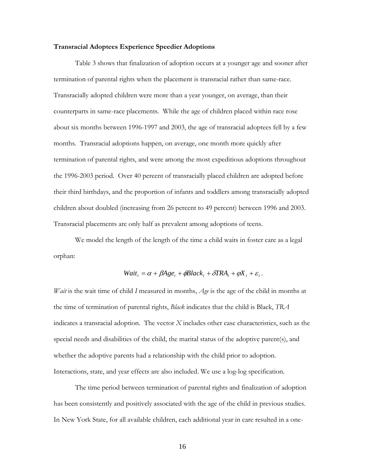#### **Transracial Adoptees Experience Speedier Adoptions**

Table 3 shows that finalization of adoption occurs at a younger age and sooner after termination of parental rights when the placement is transracial rather than same-race. Transracially adopted children were more than a year younger, on average, than their counterparts in same-race placements. While the age of children placed within race rose about six months between 1996-1997 and 2003, the age of transracial adoptees fell by a few months. Transracial adoptions happen, on average, one month more quickly after termination of parental rights, and were among the most expeditious adoptions throughout the 1996-2003 period. Over 40 percent of transracially placed children are adopted before their third birthdays, and the proportion of infants and toddlers among transracially adopted children about doubled (increasing from 26 percent to 49 percent) between 1996 and 2003. Transracial placements are only half as prevalent among adoptions of teens.

 We model the length of the length of the time a child waits in foster care as a legal orphan:

$$
Wait_i = \alpha + \beta Age_i + \phi Black_i + \delta TRA_i + \varphi X_i + \varepsilon_i.
$$

*Wait* is the wait time of child *I* measured in months, *Age* is the age of the child in months at the time of termination of parental rights, *Black* indicates that the child is Black, *TRA* indicates a transracial adoption. The vector *X* includes other case characteristics, such as the special needs and disabilities of the child, the marital status of the adoptive parent(s), and whether the adoptive parents had a relationship with the child prior to adoption. Interactions, state, and year effects are also included. We use a log-log specification.

The time period between termination of parental rights and finalization of adoption has been consistently and positively associated with the age of the child in previous studies. In New York State, for all available children, each additional year in care resulted in a one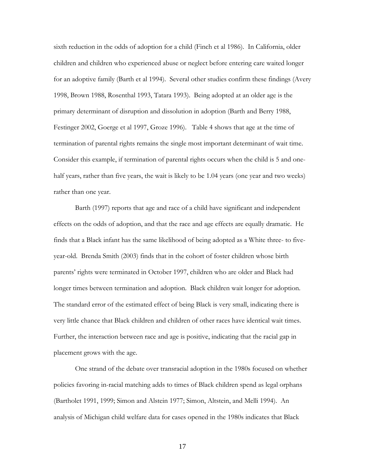sixth reduction in the odds of adoption for a child (Finch et al 1986). In California, older children and children who experienced abuse or neglect before entering care waited longer for an adoptive family (Barth et al 1994). Several other studies confirm these findings (Avery 1998, Brown 1988, Rosenthal 1993, Tatara 1993). Being adopted at an older age is the primary determinant of disruption and dissolution in adoption (Barth and Berry 1988, Festinger 2002, Goerge et al 1997, Groze 1996). Table 4 shows that age at the time of termination of parental rights remains the single most important determinant of wait time. Consider this example, if termination of parental rights occurs when the child is 5 and onehalf years, rather than five years, the wait is likely to be 1.04 years (one year and two weeks) rather than one year.

Barth (1997) reports that age and race of a child have significant and independent effects on the odds of adoption, and that the race and age effects are equally dramatic. He finds that a Black infant has the same likelihood of being adopted as a White three- to fiveyear-old. Brenda Smith (2003) finds that in the cohort of foster children whose birth parents' rights were terminated in October 1997, children who are older and Black had longer times between termination and adoption. Black children wait longer for adoption. The standard error of the estimated effect of being Black is very small, indicating there is very little chance that Black children and children of other races have identical wait times. Further, the interaction between race and age is positive, indicating that the racial gap in placement grows with the age.

One strand of the debate over transracial adoption in the 1980s focused on whether policies favoring in-racial matching adds to times of Black children spend as legal orphans (Bartholet 1991, 1999; Simon and Alstein 1977; Simon, Altstein, and Melli 1994). An analysis of Michigan child welfare data for cases opened in the 1980s indicates that Black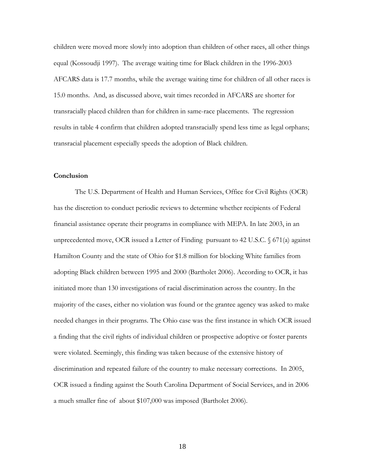children were moved more slowly into adoption than children of other races, all other things equal (Kossoudji 1997). The average waiting time for Black children in the 1996-2003 AFCARS data is 17.7 months, while the average waiting time for children of all other races is 15.0 months. And, as discussed above, wait times recorded in AFCARS are shorter for transracially placed children than for children in same-race placements. The regression results in table 4 confirm that children adopted transracially spend less time as legal orphans; transracial placement especially speeds the adoption of Black children.

#### **Conclusion**

The U.S. Department of Health and Human Services, Office for Civil Rights (OCR) has the discretion to conduct periodic reviews to determine whether recipients of Federal financial assistance operate their programs in compliance with MEPA. In late 2003, in an unprecedented move, OCR issued a Letter of Finding pursuant to 42 U.S.C.  $\sqrt{671(a)}$  against Hamilton County and the state of Ohio for \$1.8 million for blocking White families from adopting Black children between 1995 and 2000 (Bartholet 2006). According to OCR, it has initiated more than 130 investigations of racial discrimination across the country. In the majority of the cases, either no violation was found or the grantee agency was asked to make needed changes in their programs. The Ohio case was the first instance in which OCR issued a finding that the civil rights of individual children or prospective adoptive or foster parents were violated. Seemingly, this finding was taken because of the extensive history of discrimination and repeated failure of the country to make necessary corrections. In 2005, OCR issued a finding against the South Carolina Department of Social Services, and in 2006 a much smaller fine of about \$107,000 was imposed (Bartholet 2006).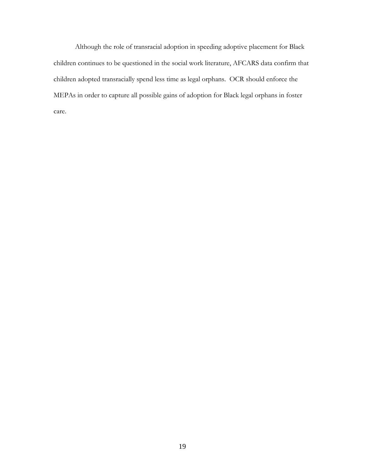Although the role of transracial adoption in speeding adoptive placement for Black children continues to be questioned in the social work literature, AFCARS data confirm that children adopted transracially spend less time as legal orphans. OCR should enforce the MEPAs in order to capture all possible gains of adoption for Black legal orphans in foster care.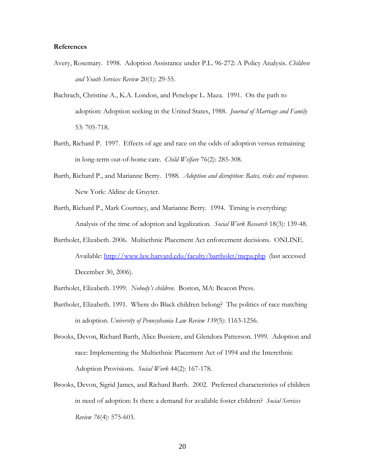#### **References**

- Avery, Rosemary. 1998. Adoption Assistance under P.L. 96-272: A Policy Analysis. *Children and Youth Services Review* 20(1): 29-55.
- Bachrach, Christine A., K.A. London, and Penelope L. Maza. 1991. On the path to adoption: Adoption seeking in the United States, 1988. *Journal of Marriage and Family*  53: 705-718.
- Barth, Richard P. 1997. Effects of age and race on the odds of adoption versus remaining in long-term out-of-home care. *Child Welfare* 76(2): 285-308.
- Barth, Richard P., and Marianne Berry. 1988. *Adoption and disruption: Rates, risks and responses.*  New York: Aldine de Gruyter.
- Barth, Richard P., Mark Courtney, and Marianne Berry. 1994. Timing is everything: Analysis of the time of adoption and legalization. *Social Work Research* 18(3): 139-48.
- Bartholet, Elizabeth. 2006. Multiethnic Placement Act enforcement decisions. ONLINE. Available: http://www.law.harvard.edu/faculty/bartholet/mepa.php (last accessed December 30, 2006).
- Bartholet, Elizabeth. 1999. *Nobody's children*. Boston, MA: Beacon Press.
- Bartholet, Elizabeth. 1991. Where do Black children belong? The politics of race matching in adoption. *University of Pennsylvania Law Review 139*(5): 1163-1256.
- Brooks, Devon, Richard Barth, Alice Bussiere, and Glendora Patterson. 1999. Adoption and race: Implementing the Multiethnic Placement Act of 1994 and the Interethnic Adoption Provisions. *Social Work* 44(2): 167-178.
- Brooks, Devon, Sigrid James, and Richard Barth. 2002. Preferred characteristics of children in need of adoption: Is there a demand for available foster children? *Social Services Review 76*(4): 575-603.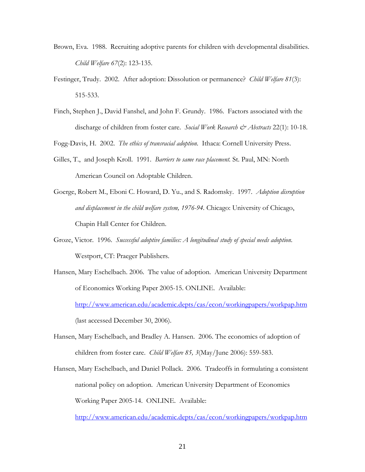- Brown, Eva. 1988. Recruiting adoptive parents for children with developmental disabilities. *Child Welfare 67*(2): 123-135.
- Festinger, Trudy. 2002. After adoption: Dissolution or permanence? *Child Welfare 81*(3): 515-533.
- Finch, Stephen J., David Fanshel, and John F. Grundy. 1986. Factors associated with the discharge of children from foster care. *Social Work Research & Abstracts* 22(1): 10-18.

Fogg-Davis, H. 2002. *The ethics of transracial adoption*. Ithaca: Cornell University Press.

- Gilles, T., and Joseph Kroll. 1991. *Barriers to same race placement.* St. Paul, MN: North American Council on Adoptable Children.
- Goerge, Robert M., Eboni C. Howard, D. Yu., and S. Radomsky. 1997. *Adoption disruption and displacement in the child welfare system, 1976-94.* Chicago: University of Chicago, Chapin Hall Center for Children.
- Groze, Victor. 1996. *Successful adoptive families: A longitudinal study of special needs adoption*. Westport, CT: Praeger Publishers.
- Hansen, Mary Eschelbach. 2006. The value of adoption. American University Department of Economics Working Paper 2005-15. ONLINE. Available: http://www.american.edu/academic.depts/cas/econ/workingpapers/workpap.htm (last accessed December 30, 2006).
- Hansen, Mary Eschelbach, and Bradley A. Hansen. 2006. The economics of adoption of children from foster care. *Child Welfare 85, 3*(May/June 2006): 559-583.
- Hansen, Mary Eschelbach, and Daniel Pollack. 2006. Tradeoffs in formulating a consistent national policy on adoption. American University Department of Economics Working Paper 2005-14. ONLINE. Available:

http://www.american.edu/academic.depts/cas/econ/workingpapers/workpap.htm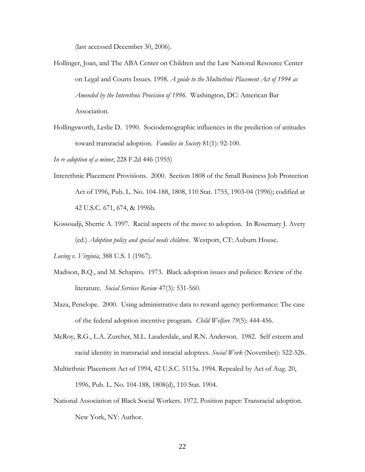(last accessed December 30, 2006).

- Hollinger, Joan, and The ABA Center on Children and the Law National Resource Center on Legal and Courts Issues. 1998. *A guide to the Multiethnic Placement Act of 1994 as Amended by the Interethnic Provision of 1996.* Washington, DC: American Bar Association.
- Hollingsworth, Leslie D. 1990. Sociodemographic influences in the prediction of attitudes toward transracial adoption. *Families in Society* 81(1): 92-100.

*In re adoption of a minor*, 228 F.2d 446 (1955)

- Interethnic Placement Provisions. 2000. Section 1808 of the Small Business Job Protection Act of 1996, Pub. L. No. 104-188, 1808, 110 Stat. 1755, 1903-04 (1996); codified at 42 U.S.C. 671, 674, & 1996b.
- Kossoudji, Sherrie A. 1997. Racial aspects of the move to adoption. In Rosemary J. Avery (ed.) *Adoption policy and special needs children*. Westport, CT: Auburn House.

*Loving v. Virginia*, 388 U.S. 1 (1967).

- Madison, B.Q., and M. Schapiro. 1973. Black adoption issues and policies: Review of the literature. *Social Services Review* 47(3): 531-560.
- Maza, Penelope. 2000. Using administrative data to reward agency performance: The case of the federal adoption incentive program. *Child Welfare 79*(5): 444-456.
- McRoy, R.G., L.A. Zurcher, M.L. Lauderdale, and R.N. Anderson. 1982. Self esteem and racial identity in transracial and inracial adoptees. *Social Work* (November): 522-526.
- Multiethnic Placement Act of 1994, 42 U.S.C. 5115a. 1994. Repealed by Act of Aug. 20, 1996, Pub. L. No. 104-188, 1808(d), 110 Stat. 1904.
- National Association of Black Social Workers. 1972. Position paper: Transracial adoption. New York, NY: Author.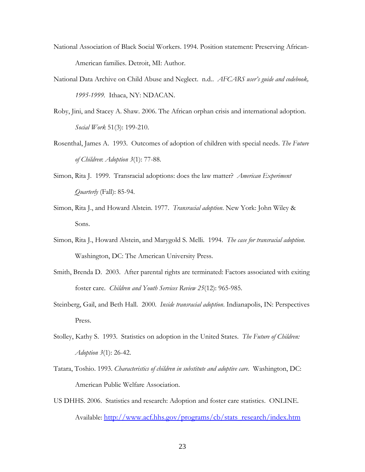- National Association of Black Social Workers. 1994. Position statement: Preserving African-American families. Detroit, MI: Author.
- National Data Archive on Child Abuse and Neglect. n.d.. *AFCARS user's guide and codebook, 1995-1999.* Ithaca, NY: NDACAN.
- Roby, Jini, and Stacey A. Shaw. 2006. The African orphan crisis and international adoption. *Social Work* 51(3): 199-210.
- Rosenthal, James A. 1993. Outcomes of adoption of children with special needs. *The Future of Children*: *Adoption 3*(1): 77-88.
- Simon, Rita J. 1999. Transracial adoptions: does the law matter? *American Experiment Quarterly* (Fall): 85-94.
- Simon, Rita J., and Howard Alstein. 1977. *Transracial adoption*. New York: John Wiley & Sons.
- Simon, Rita J., Howard Alstein, and Marygold S. Melli. 1994. *The case for transracial adoption.*  Washington, DC: The American University Press.
- Smith, Brenda D. 2003. After parental rights are terminated: Factors associated with exiting foster care. *Children and Youth Services Review 25*(12): 965-985.
- Steinberg, Gail, and Beth Hall. 2000. *Inside transracial adoption*. Indianapolis, IN: Perspectives Press.
- Stolley, Kathy S. 1993. Statistics on adoption in the United States. *The Future of Children: Adoption 3*(1): 26-42.
- Tatara, Toshio. 1993. *Characteristics of children in substitute and adoptive care*. Washington, DC: American Public Welfare Association.
- US DHHS. 2006. Statistics and research: Adoption and foster care statistics. ONLINE. Available: http://www.acf.hhs.gov/programs/cb/stats\_research/index.htm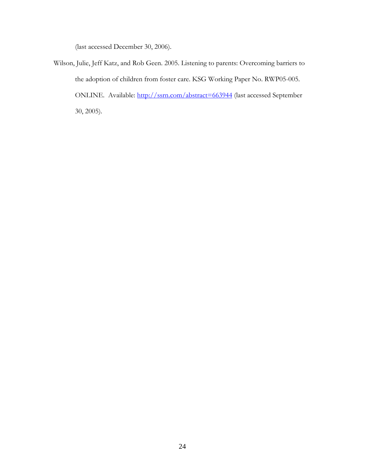(last accessed December 30, 2006).

Wilson, Julie, Jeff Katz, and Rob Geen. 2005. Listening to parents: Overcoming barriers to the adoption of children from foster care. KSG Working Paper No. RWP05-005. ONLINE. Available: http://ssrn.com/abstract=663944 (last accessed September 30, 2005).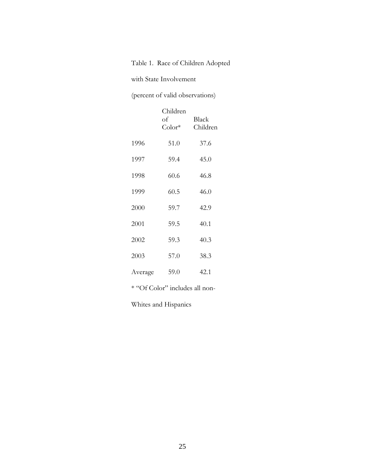## Table 1. Race of Children Adopted

with State Involvement

(percent of valid observations)

|         | Children<br>оf<br>$Color*$ | Black<br>Children |
|---------|----------------------------|-------------------|
| 1996    | 51.0                       | 37.6              |
| 1997    | 59.4                       | 45.0              |
| 1998    | 60.6                       | 46.8              |
| 1999    | 60.5                       | 46.0              |
| 2000    | 59.7                       | 42.9              |
| 2001    | 59.5                       | 40.1              |
| 2002    | 59.3                       | 40.3              |
| 2003    | 57.0                       | 38.3              |
| Average | 59.0                       | 42.1              |

\* "Of Color" includes all non-

Whites and Hispanics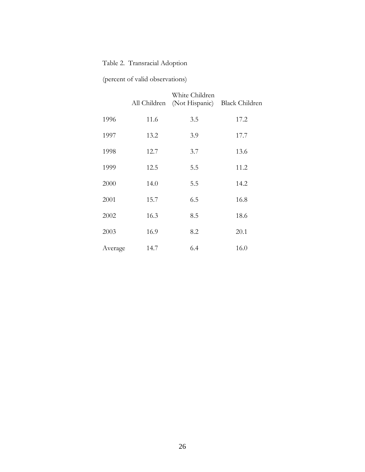## Table 2. Transracial Adoption

## (percent of valid observations)

|         | All Children | White Children<br>(Not Hispanic) | Black Children |
|---------|--------------|----------------------------------|----------------|
| 1996    | 11.6         | 3.5                              | 17.2           |
| 1997    | 13.2         | 3.9                              | 17.7           |
| 1998    | 12.7         | 3.7                              | 13.6           |
| 1999    | 12.5         | 5.5                              | 11.2           |
| 2000    | 14.0         | 5.5                              | 14.2           |
| 2001    | 15.7         | 6.5                              | 16.8           |
| 2002    | 16.3         | 8.5                              | 18.6           |
| 2003    | 16.9         | 8.2                              | 20.1           |
| Average | 14.7         | 6.4                              | 16.0           |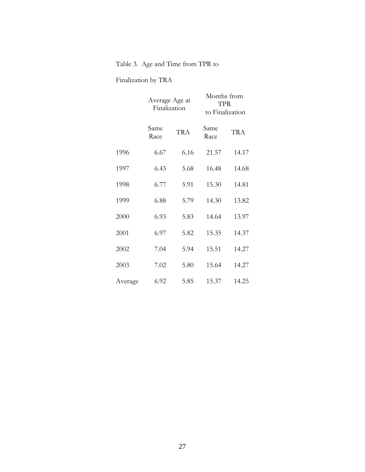## Table 3. Age and Time from TPR to

## Finalization by TRA

|         | Average Age at<br>Finalization |            | Months from<br><b>TPR</b><br>to Finalization |            |
|---------|--------------------------------|------------|----------------------------------------------|------------|
|         | Same<br>Race                   | <b>TRA</b> | Same<br>Race                                 | <b>TRA</b> |
| 1996    | 6.67                           | 6.16       | 21.57                                        | 14.17      |
| 1997    | 6.43                           | 5.68       | 16.48                                        | 14.68      |
| 1998    | 6.77                           | 5.91       | 15.30                                        | 14.81      |
| 1999    | 6.88                           | 5.79       | 14.30                                        | 13.82      |
| 2000    | 6.93                           | 5.83       | 14.64                                        | 13.97      |
| 2001    | 6.97                           | 5.82       | 15.35                                        | 14.37      |
| 2002    | 7.04                           | 5.94       | 15.51                                        | 14.27      |
| 2003    | 7.02                           | 5.80       | 15.64                                        | 14.27      |
| Average | 6.92                           | 5.85       | 15.37                                        | 14.25      |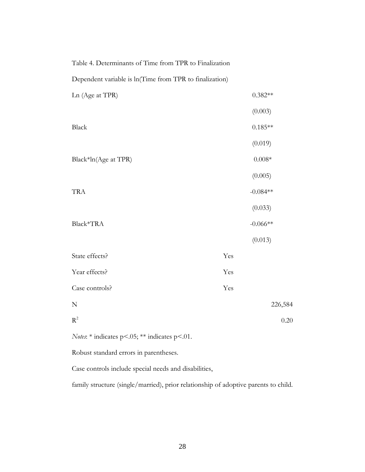| Table 4. Determinants of Time from TPR to Finalization  |     |            |
|---------------------------------------------------------|-----|------------|
| Dependent variable is ln(Time from TPR to finalization) |     |            |
| Ln (Age at TPR)                                         |     | $0.382**$  |
|                                                         |     | (0.003)    |
| Black                                                   |     | $0.185**$  |
|                                                         |     | (0.019)    |
| Black*ln(Age at TPR)                                    |     | $0.008*$   |
|                                                         |     | (0.005)    |
| <b>TRA</b>                                              |     | $-0.084**$ |
|                                                         |     | (0.033)    |
| Black*TRA                                               |     | $-0.066**$ |
|                                                         |     | (0.013)    |
| State effects?                                          | Yes |            |
| Year effects?                                           | Yes |            |

| Case controls? | Yes     |
|----------------|---------|
| N              | 226,584 |
| $R^2$          | 0.20    |

*Notes*: \* indicates p<.05; \*\* indicates p<.01.

Robust standard errors in parentheses.

Case controls include special needs and disabilities,

family structure (single/married), prior relationship of adoptive parents to child.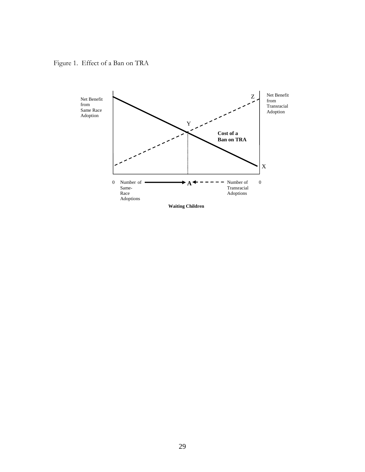Figure 1. Effect of a Ban on TRA

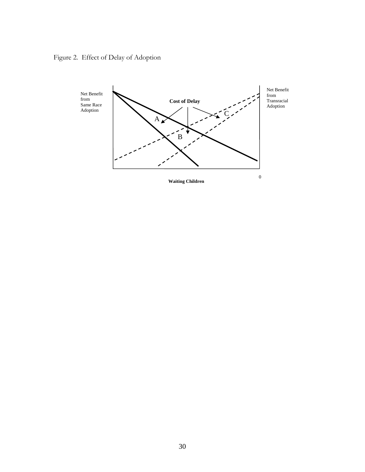Figure 2. Effect of Delay of Adoption